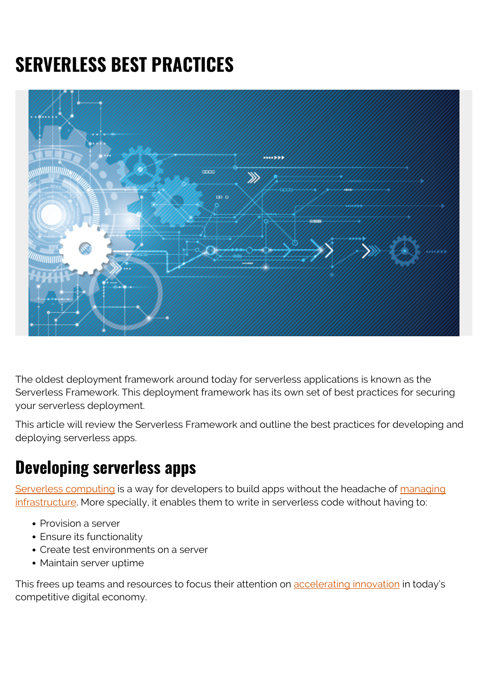# **SERVERLESS BEST PRACTICES**



The oldest deployment framework around today for serverless applications is known as the Serverless Framework. This deployment framework has its own set of best practices for securing your serverless deployment.

This article will review the Serverless Framework and outline the best practices for developing and deploying serverless apps.

### **Developing serverless apps**

[Serverless computing](https://blogs.bmc.com/blogs/serverless-computing/) is a way for developers to build apps without the headache of [managing](https://blogs.bmc.com/blogs/it-infrastructure-management/) [infrastructure](https://blogs.bmc.com/blogs/it-infrastructure-management/). More specially, it enables them to write in serverless code without having to:

- Provision a server
- Ensure its functionality
- Create test environments on a server
- Maintain server uptime

This frees up teams and resources to focus their attention on [accelerating innovation](https://blogs.bmc.com/blogs/continuous-innovation/) in today's competitive digital economy.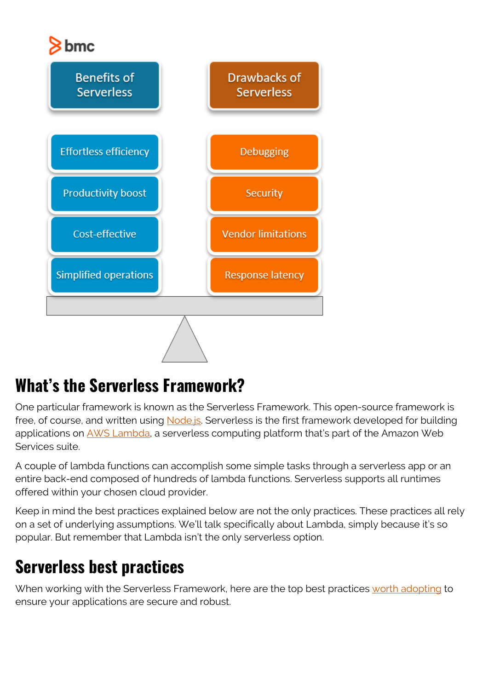

# **What's the Serverless Framework?**

One particular framework is known as the Serverless Framework. This open-source framework is free, of course, and written using [Node.js](https://en.wikipedia.org/wiki/Node.js). Serverless is the first framework developed for building applications on [AWS Lambda,](https://blogs.bmc.com/blogs/aws-lambda/) a serverless computing platform that's part of the Amazon Web Services suite.

A couple of lambda functions can accomplish some simple tasks through a serverless app or an entire back-end composed of hundreds of lambda functions. Serverless supports all runtimes offered within your chosen cloud provider.

Keep in mind the best practices explained below are not the only practices. These practices all rely on a set of underlying assumptions. We'll talk specifically about Lambda, simply because it's so popular. But remember that Lambda isn't the only serverless option.

# **Serverless best practices**

When working with the Serverless Framework, here are the top best practices [worth adopting](https://www.datree.io/resources/serverless-best-practices) to ensure your applications are secure and robust.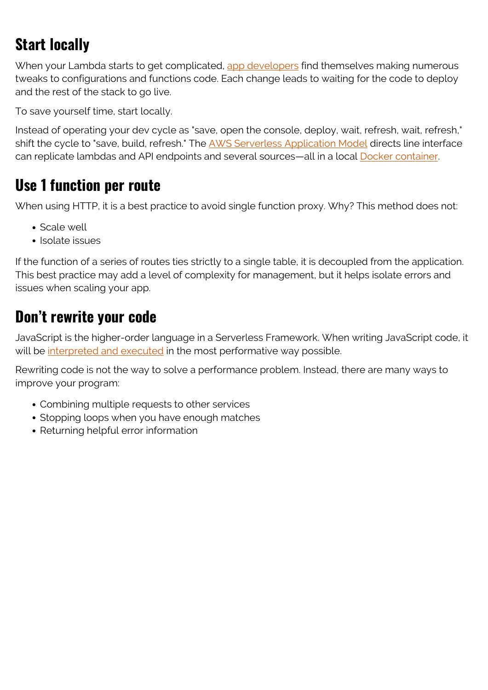# **Start locally**

When your Lambda starts to get complicated, [app developers](https://blogs.bmc.com/blogs/application-developer-roles-responsibilities/) find themselves making numerous tweaks to configurations and functions code. Each change leads to waiting for the code to deploy and the rest of the stack to go live.

To save yourself time, start locally.

Instead of operating your dev cycle as "save, open the console, deploy, wait, refresh, wait, refresh," shift the cycle to "save, build, refresh." The [AWS Serverless Application Model](https://blogs.bmc.com/blogs/aws-serverless-applications/) directs line interface can replicate lambdas and API endpoints and several sources—all in a local [Docker container.](https://blogs.bmc.com/blogs/docker-101-introduction/)

#### **Use 1 function per route**

When using HTTP, it is a best practice to avoid single function proxy. Why? This method does not:

- Scale well
- Isolate issues

If the function of a series of routes ties strictly to a single table, it is decoupled from the application. This best practice may add a level of complexity for management, but it helps isolate errors and issues when scaling your app.

#### **Don't rewrite your code**

JavaScript is the higher-order language in a Serverless Framework. When writing JavaScript code, it will be [interpreted and executed](https://thenewstack.io/6-best-practices-for-high-performance-serverless-engineering/) in the most performative way possible.

Rewriting code is not the way to solve a performance problem. Instead, there are many ways to improve your program:

- Combining multiple requests to other services
- Stopping loops when you have enough matches
- Returning helpful error information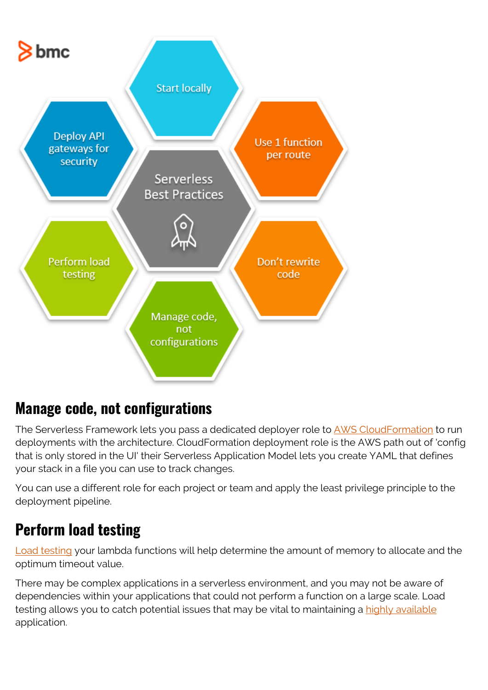

### **Manage code, not configurations**

The Serverless Framework lets you pass a dedicated deployer role to **AWS CloudFormation** to run deployments with the architecture. CloudFormation deployment role is the AWS path out of 'config that is only stored in the UI' their Serverless Application Model lets you create YAML that defines your stack in a file you can use to track changes.

You can use a different role for each project or team and apply the least privilege principle to the deployment pipeline.

### **Perform load testing**

[Load testing](https://blogs.bmc.com/blogs/load-testing-performance-testing-and-stress-testing-explained/) your lambda functions will help determine the amount of memory to allocate and the optimum timeout value.

There may be complex applications in a serverless environment, and you may not be aware of dependencies within your applications that could not perform a function on a large scale. Load testing allows you to catch potential issues that may be vital to maintaining a [highly available](https://blogs.bmc.com/blogs/high-availability/) application.